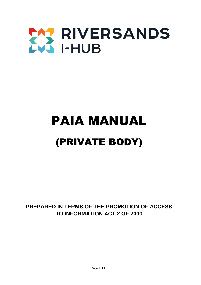

# PAIA MANUAL (PRIVATE BODY)

**PREPARED IN TERMS OF THE PROMOTION OF ACCESS TO INFORMATION ACT 2 OF 2000**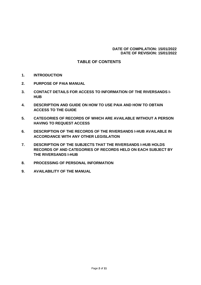#### **DATE OF COMPILATION: 15/01/2022 DATE OF REVISION: 15/01/2022**

## **TABLE OF CONTENTS**

- **1. INTRODUCTION**
- **2. PURPOSE OF PAIA MANUAL**
- **3. CONTACT DETAILS FOR ACCESS TO INFORMATION OF THE RIVERSANDS I-HUB**
- **4. DESCRIPTION AND GUIDE ON HOW TO USE PAIA AND HOW TO OBTAIN ACCESS TO THE GUIDE**
- **5. CATEGORIES OF RECORDS OF WHICH ARE AVAILABLE WITHOUT A PERSON HAVING TO REQUEST ACCESS**
- **6. DESCRIPTION OF THE RECORDS OF THE RIVERSANDS I-HUB AVAILABLE IN ACCORDANCE WITH ANY OTHER LEGISLATION**
- **7. DESCRIPTION OF THE SUBJECTS THAT THE RIVERSANDS I-HUB HOLDS RECORDS OF AND CATEGORIES OF RECORDS HELD ON EACH SUBJECT BY THE RIVERSANDS I-HUB**
- **8. PROCESSING OF PERSONAL INFORMATION**
- **9. AVAILABILITY OF THE MANUAL**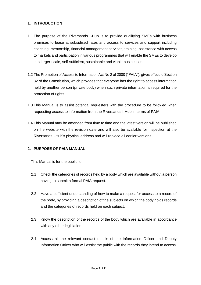#### **1. INTRODUCTION**

- 1.1 The purpose of the Riversands I-Hub is to provide qualifying SMEs with business premises to lease at subsidised rates and access to services and support including coaching, mentorship, financial management services, training, assistance with access to markets and participation in various programmes that will enable the SMEs to develop into larger-scale, self-sufficient, sustainable and viable businesses.
- 1.2 The Promotion of Access to Information Act No 2 of 2000 ("PAIA"), gives effect to Section 32 of the Constitution, which provides that everyone has the right to access information held by another person (private body) when such private information is required for the protection of rights.
- 1.3 This Manual is to assist potential requesters with the procedure to be followed when requesting access to information from the Riversands I-Hub in terms of PAIA.
- 1.4 This Manual may be amended from time to time and the latest version will be published on the website with the revision date and will also be available for inspection at the Riversands I-Hub's physical address and will replace all earlier versions.

## **2. PURPOSE OF PAIA MANUAL**

This Manual is for the public to -

- 2.1 Check the categories of records held by a body which are available without a person having to submit a formal PAIA request.
- 2.2 Have a sufficient understanding of how to make a request for access to a record of the body, by providing a description of the subjects on which the body holds records and the categories of records held on each subject.
- 2.3 Know the description of the records of the body which are available in accordance with any other legislation.
- 2.4 Access all the relevant contact details of the Information Officer and Deputy Information Officer who will assist the public with the records they intend to access.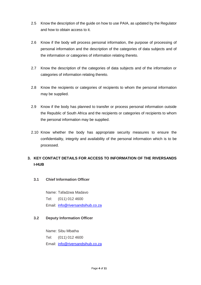- 2.5 Know the description of the guide on how to use PAIA, as updated by the Regulator and how to obtain access to it.
- 2.6 Know if the body will process personal information, the purpose of processing of personal information and the description of the categories of data subjects and of the information or categories of information relating thereto.
- 2.7 Know the description of the categories of data subjects and of the information or categories of information relating thereto.
- 2.8 Know the recipients or categories of recipients to whom the personal information may be supplied.
- 2.9 Know if the body has planned to transfer or process personal information outside the Republic of South Africa and the recipients or categories of recipients to whom the personal information may be supplied.
- 2.10 Know whether the body has appropriate security measures to ensure the confidentiality, integrity and availability of the personal information which is to be processed.

## **3. KEY CONTACT DETAILS FOR ACCESS TO INFORMATION OF THE RIVERSANDS I-HUB**

## **3.1 Chief Information Officer**

Name: Tafadzwa Madavo Tel: (011) 012 4600 Email: [info@riversandsihub.co.za](mailto:info@riversandsihub.co.za)

## **3.2 Deputy Information Officer**

Name: Sibu Mbatha Tel: (011) 012 4600 Email: [info@riversandsihub.co.za](mailto:info@riversandsihub.co.za)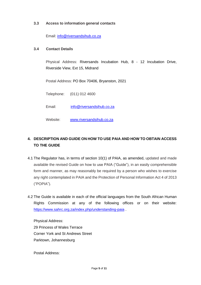### **3.3 Access to information general contacts**

Email: [info@riversandsihub.co.za](mailto:info@riversandsihub.co.za)

#### **3.4 Contact Details**

Physical Address: Riversands Incubation Hub, 8 - 12 Incubation Drive, Riverside View, Ext 15, Midrand

Postal Address: PO Box 70406, Bryanston, 2021

Telephone: (011) 012 4600

Email: [info@riversandsihub.co.za](mailto:info@riversandsihub.co.za)

Website: [www.riversandsihub.co.za](http://www.riversandsihub.co.za/)

## **4. DESCRIPTION AND GUIDE ON HOW TO USE PAIA AND HOW TO OBTAIN ACCESS TO THE GUIDE**

- 4.1 The Regulator has, in terms of section 10(1) of PAIA, as amended, updated and made available the revised Guide on how to use PAIA ("Guide"), in an easily comprehensible form and manner, as may reasonably be required by a person who wishes to exercise any right contemplated in PAIA and the Protection of Personal Information Act 4 of 2013 ("POPIA").
- 4.2 The Guide is available in each of the official languages from the South African Human Rights Commission at any of the following offices or on their website: <https://www.sahrc.org.za/index.php/understanding-paia> .

Physical Address: 29 Princess of Wales Terrace Corner York and St Andrews Street Parktown, Johannesburg

Postal Address: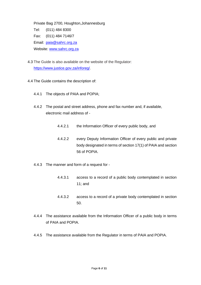Private Bag 2700, Houghton,Johannesburg Tel: (011) 484 8300 Fax: (011) 484 7146/7 Email: [paia@sahrc.org.za](mailto:paia@sahrc.org.za) Website: [www.sahrc.org.za](http://www.sahrc.org.za/)

- 4.3 The Guide is also available on the website of the Regulator: [https://www.justice.gov.za/inforeg/.](https://www.justice.gov.za/inforeg/)
- 4.4 The Guide contains the description of:
	- 4.4.1 The objects of PAIA and POPIA;
	- 4.4.2 The postal and street address, phone and fax number and, if available, electronic mail address of -
		- 4.4.2.1 the Information Officer of every public body, and
		- 4.4.2.2 every Deputy Information Officer of every public and private body designated in terms of section 17(1) of PAIA and section 56 of POPIA.
	- 4.4.3 The manner and form of a request for
		- 4.4.3.1 access to a record of a public body contemplated in section 11; and
		- 4.4.3.2 access to a record of a private body contemplated in section 50.
	- 4.4.4 The assistance available from the Information Officer of a public body in terms of PAIA and POPIA.
	- 4.4.5 The assistance available from the Regulator in terms of PAIA and POPIA.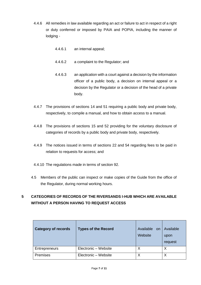- 4.4.6 All remedies in law available regarding an act or failure to act in respect of a right or duty conferred or imposed by PAIA and POPIA, including the manner of lodging -
	- 4.4.6.1 an internal appeal;
	- 4.4.6.2 a complaint to the Regulator; and
	- 4.4.6.3 an application with a court against a decision by the information officer of a public body, a decision on internal appeal or a decision by the Regulator or a decision of the head of a private body.
- 4.4.7 The provisions of sections 14 and 51 requiring a public body and private body, respectively, to compile a manual, and how to obtain access to a manual.
- 4.4.8 The provisions of sections 15 and 52 providing for the voluntary disclosure of categories of records by a public body and private body, respectively.
- 4.4.9 The notices issued in terms of sections 22 and 54 regarding fees to be paid in relation to requests for access; and
- 4.4.10 The regulations made in terms of section 92.
- 4.5 Members of the public can inspect or make copies of the Guide from the office of the Regulator, during normal working hours.

# **5 CATEGORIES OF RECORDS OF THE RIVERSANDS I-HUB WHICH ARE AVAILABLE WITHOUT A PERSON HAVING TO REQUEST ACCESS**

| <b>Category of records</b> | Types of the Record  | Available<br>on<br>Website | Available<br>upon<br>request |
|----------------------------|----------------------|----------------------------|------------------------------|
| <b>Entrepreneurs</b>       | Electronic - Website |                            | Χ                            |
| Premises                   | Electronic - Website | Χ                          | Χ                            |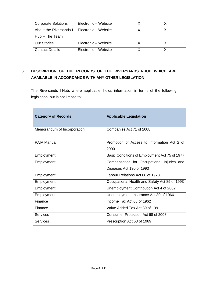| <b>Corporate Solutions</b>                     | Electronic - Website |  |
|------------------------------------------------|----------------------|--|
| About the Riversands I-   Electronic - Website |                      |  |
| Hub - The Team                                 |                      |  |
| <b>Our Stories</b>                             | Electronic - Website |  |
| <b>Contact Details</b>                         | Electronic - Website |  |

## **6. DESCRIPTION OF THE RECORDS OF THE RIVERSANDS I-HUB WHICH ARE AVAILABLE IN ACCORDANCE WITH ANY OTHER LEGISLATION**

The Riversands I-Hub, where applicable, holds information in terms of the following legislation, but is not limited to:

| <b>Category of Records</b>  | <b>Applicable Legislation</b>                       |
|-----------------------------|-----------------------------------------------------|
| Memorandum of Incorporation | Companies Act 71 of 2008                            |
| <b>PAIA Manual</b>          | Promotion of Access to Information Act 2 of<br>2000 |
| Employment                  | Basic Conditions of Employment Act 75 of 1977       |
| Employment                  | Compensation for Occupational Injuries and          |
|                             | Diseases Act 130 of 1993                            |
| Employment                  | Labour Relations Act 66 of 1978                     |
| Employment                  | Occupational Health and Safety Act 85 of 1993       |
| Employment                  | Unemployment Contribution Act 4 of 2002             |
| Employment                  | Unemployment Insurance Act 30 of 1966               |
| Finance                     | Income Tax Act 68 of 1962                           |
| Finance                     | Value Added Tax Act 89 of 1991                      |
| <b>Services</b>             | Consumer Protection Act 68 of 2008                  |
| <b>Services</b>             | Prescription Act 68 of 1969                         |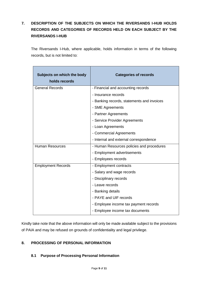# **7. DESCRIPTION OF THE SUBJECTS ON WHICH THE RIVERSANDS I-HUB HOLDS RECORDS AND CATEGORIES OF RECORDS HELD ON EACH SUBJECT BY THE RIVERSANDS I-HUB**

The Riversands I-Hub, where applicable, holds information in terms of the following records, but is not limited to:

| Subjects on which the body<br>holds records | <b>Categories of records</b>               |
|---------------------------------------------|--------------------------------------------|
| <b>General Records</b>                      | - Financial and accounting records         |
|                                             | - Insurance records                        |
|                                             | - Banking records, statements and invoices |
|                                             | - SME Agreements                           |
|                                             | - Partner Agreements                       |
|                                             | - Service Provider Agreements              |
|                                             | - Loan Agreements                          |
|                                             | - Commercial Agreements                    |
|                                             | - Internal and external correspondence     |
| <b>Human Resources</b>                      | - Human Resources policies and procedures  |
|                                             | - Employment advertisements                |
|                                             | - Employees records                        |
| <b>Employment Records</b>                   | - Employment contracts                     |
|                                             | - Salary and wage records                  |
|                                             | - Disciplinary records                     |
|                                             | - Leave records                            |
|                                             | - Banking details                          |
|                                             | - PAYE and UIF records                     |
|                                             | - Employee income tax payment records      |
|                                             | - Employee income tax documents            |

Kindly take note that the above information will only be made available subject to the provisions of PAIA and may be refused on grounds of confidentiality and legal privilege.

## **8. PROCESSING OF PERSONAL INFORMATION**

## **8.1 Purpose of Processing Personal Information**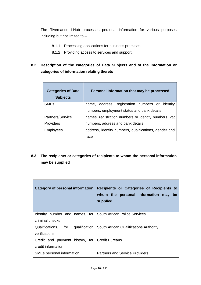The Riversands I-Hub processes personal information for various purposes including but not limited to –

- 8.1.1 Processing applications for business premises.
- 8.1.2 Providing access to services and support.
- **8.2 Description of the categories of Data Subjects and of the information or categories of information relating thereto**

| <b>Categories of Data</b><br><b>Subjects</b> | Personal Information that may be processed            |
|----------------------------------------------|-------------------------------------------------------|
| <b>SME<sub>s</sub></b>                       | name, address, registration numbers or identity       |
|                                              | numbers, employment status and bank details           |
| Partners/Service                             | names, registration numbers or identity numbers, vat  |
| <b>Providers</b>                             | numbers, address and bank details                     |
| <b>Employees</b>                             | address, identity numbers, qualifications, gender and |
|                                              | race                                                  |

**8.3 The recipients or categories of recipients to whom the personal information may be supplied**

| Category of personal information                                     | Recipients or Categories of Recipients to<br>whom the personal information may<br>be<br>supplied |
|----------------------------------------------------------------------|--------------------------------------------------------------------------------------------------|
| Identity number and names, for<br>criminal checks                    | <b>South African Police Services</b>                                                             |
| for<br>Qualifications,<br>verifications                              | qualification   South African Qualifications Authority                                           |
| Credit and payment history, for Credit Bureaus<br>credit information |                                                                                                  |
| SMEs personal information                                            | <b>Partners and Service Providers</b>                                                            |